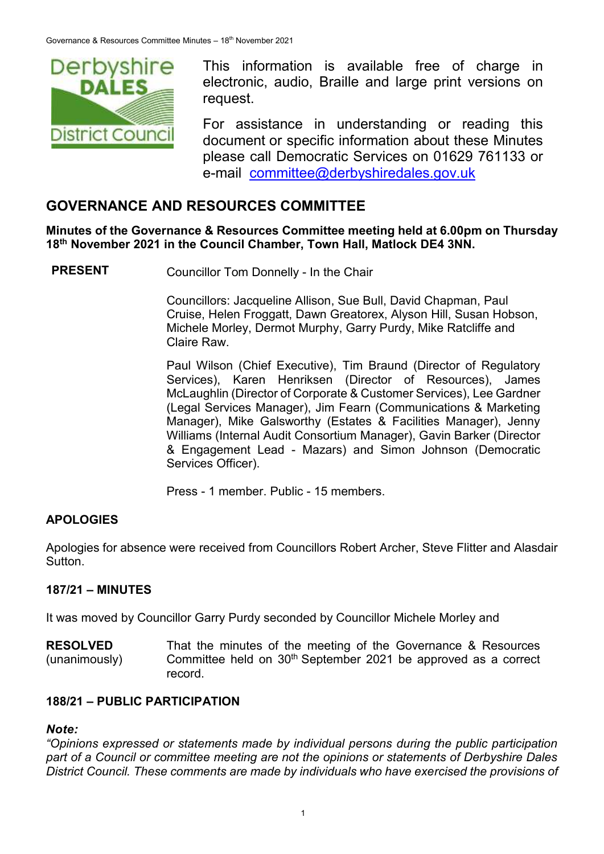

This information is available free of charge in electronic, audio, Braille and large print versions on request.

For assistance in understanding or reading this document or specific information about these Minutes please call Democratic Services on 01629 761133 or e-mail [committee@derbyshiredales.gov.uk](mailto:brian.evans@derbyshiredales.gov.uk)

# **GOVERNANCE AND RESOURCES COMMITTEE**

**Minutes of the Governance & Resources Committee meeting held at 6.00pm on Thursday 18th November 2021 in the Council Chamber, Town Hall, Matlock DE4 3NN.**

**PRESENT** Councillor Tom Donnelly - In the Chair

Councillors: Jacqueline Allison, Sue Bull, David Chapman, Paul Cruise, Helen Froggatt, Dawn Greatorex, Alyson Hill, Susan Hobson, Michele Morley, Dermot Murphy, Garry Purdy, Mike Ratcliffe and Claire Raw.

Paul Wilson (Chief Executive), Tim Braund (Director of Regulatory Services), Karen Henriksen (Director of Resources), James McLaughlin (Director of Corporate & Customer Services), Lee Gardner (Legal Services Manager), Jim Fearn (Communications & Marketing Manager), Mike Galsworthy (Estates & Facilities Manager), Jenny Williams (Internal Audit Consortium Manager), Gavin Barker (Director & Engagement Lead - Mazars) and Simon Johnson (Democratic Services Officer).

Press - 1 member. Public - 15 members.

#### **APOLOGIES**

Apologies for absence were received from Councillors Robert Archer, Steve Flitter and Alasdair **Sutton** 

#### **187/21 – MINUTES**

It was moved by Councillor Garry Purdy seconded by Councillor Michele Morley and

**RESOLVED** (unanimously) That the minutes of the meeting of the Governance & Resources Committee held on 30<sup>th</sup> September 2021 be approved as a correct record.

#### **188/21 – PUBLIC PARTICIPATION**

#### *Note:*

*"Opinions expressed or statements made by individual persons during the public participation part of a Council or committee meeting are not the opinions or statements of Derbyshire Dales District Council. These comments are made by individuals who have exercised the provisions of*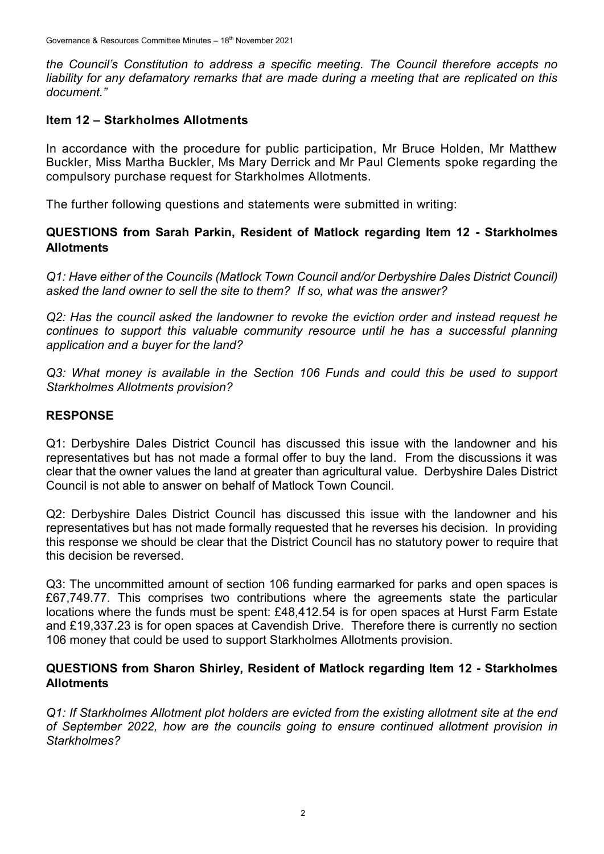*the Council's Constitution to address a specific meeting. The Council therefore accepts no liability for any defamatory remarks that are made during a meeting that are replicated on this document."*

#### **Item 12 – Starkholmes Allotments**

In accordance with the procedure for public participation, Mr Bruce Holden, Mr Matthew Buckler, Miss Martha Buckler, Ms Mary Derrick and Mr Paul Clements spoke regarding the compulsory purchase request for Starkholmes Allotments.

The further following questions and statements were submitted in writing:

#### **QUESTIONS from Sarah Parkin, Resident of Matlock regarding Item 12 - Starkholmes Allotments**

*Q1: Have either of the Councils (Matlock Town Council and/or Derbyshire Dales District Council) asked the land owner to sell the site to them? If so, what was the answer?*

*Q2: Has the council asked the landowner to revoke the eviction order and instead request he continues to support this valuable community resource until he has a successful planning application and a buyer for the land?*

*Q3: What money is available in the Section 106 Funds and could this be used to support Starkholmes Allotments provision?*

#### **RESPONSE**

Q1: Derbyshire Dales District Council has discussed this issue with the landowner and his representatives but has not made a formal offer to buy the land. From the discussions it was clear that the owner values the land at greater than agricultural value. Derbyshire Dales District Council is not able to answer on behalf of Matlock Town Council.

Q2: Derbyshire Dales District Council has discussed this issue with the landowner and his representatives but has not made formally requested that he reverses his decision. In providing this response we should be clear that the District Council has no statutory power to require that this decision be reversed.

Q3: The uncommitted amount of section 106 funding earmarked for parks and open spaces is £67,749.77. This comprises two contributions where the agreements state the particular locations where the funds must be spent: £48,412.54 is for open spaces at Hurst Farm Estate and £19,337.23 is for open spaces at Cavendish Drive. Therefore there is currently no section 106 money that could be used to support Starkholmes Allotments provision.

#### **QUESTIONS from Sharon Shirley, Resident of Matlock regarding Item 12 - Starkholmes Allotments**

*Q1: If Starkholmes Allotment plot holders are evicted from the existing allotment site at the end of September 2022, how are the councils going to ensure continued allotment provision in Starkholmes?*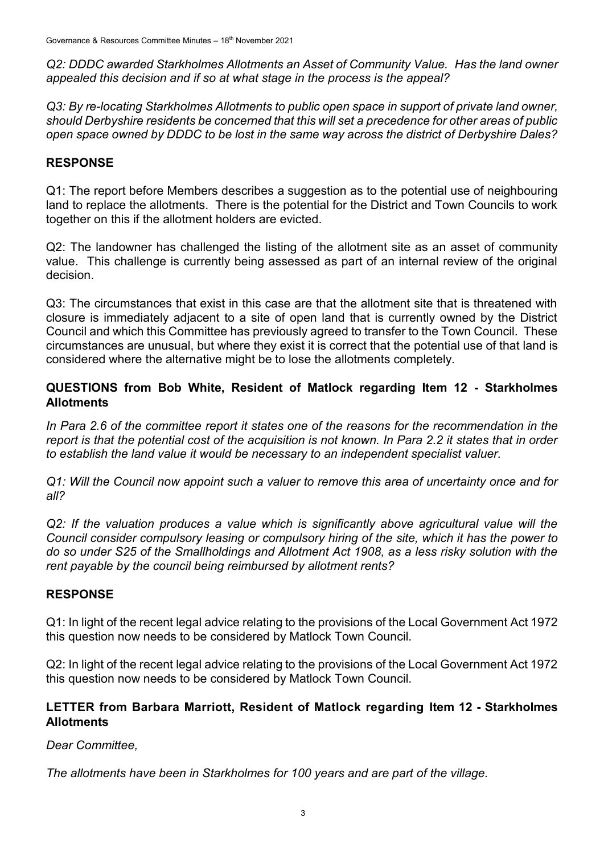*Q2: DDDC awarded Starkholmes Allotments an Asset of Community Value. Has the land owner appealed this decision and if so at what stage in the process is the appeal?*

*Q3: By re-locating Starkholmes Allotments to public open space in support of private land owner, should Derbyshire residents be concerned that this will set a precedence for other areas of public open space owned by DDDC to be lost in the same way across the district of Derbyshire Dales?*

## **RESPONSE**

Q1: The report before Members describes a suggestion as to the potential use of neighbouring land to replace the allotments. There is the potential for the District and Town Councils to work together on this if the allotment holders are evicted.

Q2: The landowner has challenged the listing of the allotment site as an asset of community value. This challenge is currently being assessed as part of an internal review of the original decision.

Q3: The circumstances that exist in this case are that the allotment site that is threatened with closure is immediately adjacent to a site of open land that is currently owned by the District Council and which this Committee has previously agreed to transfer to the Town Council. These circumstances are unusual, but where they exist it is correct that the potential use of that land is considered where the alternative might be to lose the allotments completely.

## **QUESTIONS from Bob White, Resident of Matlock regarding Item 12 - Starkholmes Allotments**

*In Para 2.6 of the committee report it states one of the reasons for the recommendation in the report is that the potential cost of the acquisition is not known. In Para 2.2 it states that in order to establish the land value it would be necessary to an independent specialist valuer.*

*Q1: Will the Council now appoint such a valuer to remove this area of uncertainty once and for all?*

*Q2: If the valuation produces a value which is significantly above agricultural value will the Council consider compulsory leasing or compulsory hiring of the site, which it has the power to do so under S25 of the Smallholdings and Allotment Act 1908, as a less risky solution with the rent payable by the council being reimbursed by allotment rents?*

## **RESPONSE**

Q1: In light of the recent legal advice relating to the provisions of the Local Government Act 1972 this question now needs to be considered by Matlock Town Council.

Q2: In light of the recent legal advice relating to the provisions of the Local Government Act 1972 this question now needs to be considered by Matlock Town Council.

## **LETTER from Barbara Marriott, Resident of Matlock regarding Item 12 - Starkholmes Allotments**

*Dear Committee,* 

*The allotments have been in Starkholmes for 100 years and are part of the village.*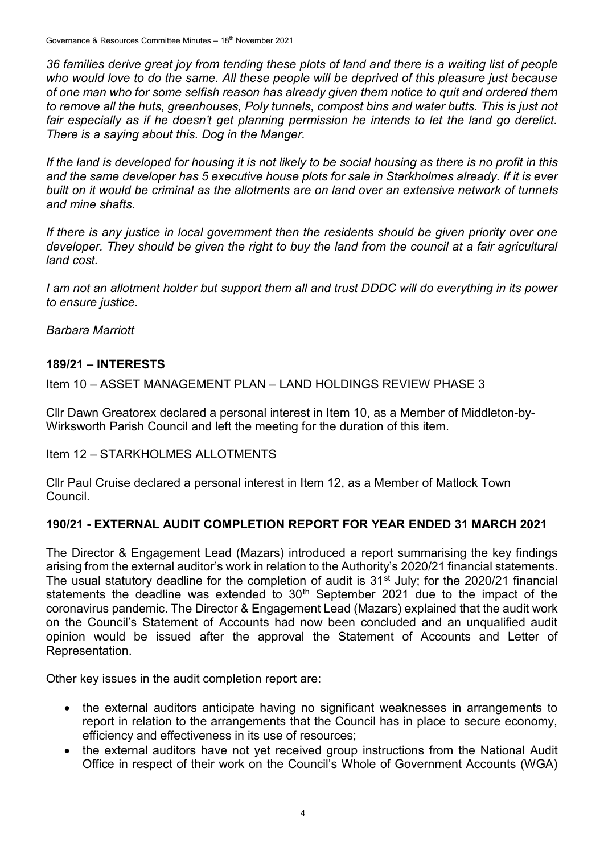*36 families derive great joy from tending these plots of land and there is a waiting list of people*  who would love to do the same. All these people will be deprived of this pleasure just because *of one man who for some selfish reason has already given them notice to quit and ordered them to remove all the huts, greenhouses, Poly tunnels, compost bins and water butts. This is just not*  fair especially as if he doesn't get planning permission he intends to let the land go derelict. *There is a saying about this. Dog in the Manger.*

*If the land is developed for housing it is not likely to be social housing as there is no profit in this and the same developer has 5 executive house plots for sale in Starkholmes already. If it is ever built on it would be criminal as the allotments are on land over an extensive network of tunnels and mine shafts.* 

*If there is any justice in local government then the residents should be given priority over one developer. They should be given the right to buy the land from the council at a fair agricultural land cost.*

*I am not an allotment holder but support them all and trust DDDC will do everything in its power to ensure justice.*

*Barbara Marriott*

## **189/21 – INTERESTS**

Item 10 – ASSET MANAGEMENT PLAN – LAND HOLDINGS REVIEW PHASE 3

Cllr Dawn Greatorex declared a personal interest in Item 10, as a Member of Middleton-by-Wirksworth Parish Council and left the meeting for the duration of this item.

Item 12 – STARKHOLMES ALLOTMENTS

Cllr Paul Cruise declared a personal interest in Item 12, as a Member of Matlock Town Council.

## **190/21 - EXTERNAL AUDIT COMPLETION REPORT FOR YEAR ENDED 31 MARCH 2021**

The Director & Engagement Lead (Mazars) introduced a report summarising the key findings arising from the external auditor's work in relation to the Authority's 2020/21 financial statements. The usual statutory deadline for the completion of audit is  $31<sup>st</sup>$  July; for the 2020/21 financial statements the deadline was extended to  $30<sup>th</sup>$  September 2021 due to the impact of the coronavirus pandemic. The Director & Engagement Lead (Mazars) explained that the audit work on the Council's Statement of Accounts had now been concluded and an unqualified audit opinion would be issued after the approval the Statement of Accounts and Letter of Representation.

Other key issues in the audit completion report are:

- the external auditors anticipate having no significant weaknesses in arrangements to report in relation to the arrangements that the Council has in place to secure economy, efficiency and effectiveness in its use of resources;
- the external auditors have not yet received group instructions from the National Audit Office in respect of their work on the Council's Whole of Government Accounts (WGA)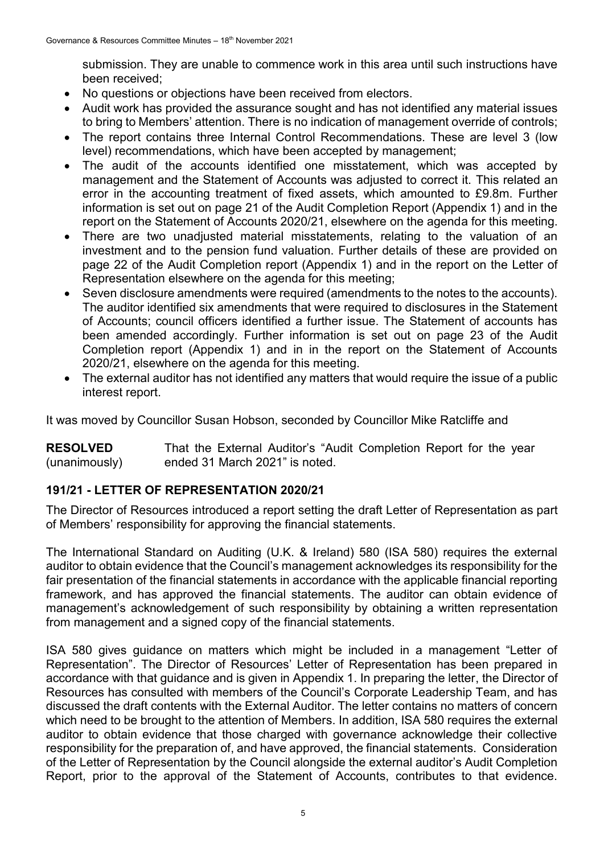submission. They are unable to commence work in this area until such instructions have been received;

- No questions or objections have been received from electors.
- Audit work has provided the assurance sought and has not identified any material issues to bring to Members' attention. There is no indication of management override of controls;
- The report contains three Internal Control Recommendations. These are level 3 (low level) recommendations, which have been accepted by management;
- The audit of the accounts identified one misstatement, which was accepted by management and the Statement of Accounts was adjusted to correct it. This related an error in the accounting treatment of fixed assets, which amounted to £9.8m. Further information is set out on page 21 of the Audit Completion Report (Appendix 1) and in the report on the Statement of Accounts 2020/21, elsewhere on the agenda for this meeting.
- There are two unadjusted material misstatements, relating to the valuation of an investment and to the pension fund valuation. Further details of these are provided on page 22 of the Audit Completion report (Appendix 1) and in the report on the Letter of Representation elsewhere on the agenda for this meeting;
- Seven disclosure amendments were required (amendments to the notes to the accounts). The auditor identified six amendments that were required to disclosures in the Statement of Accounts; council officers identified a further issue. The Statement of accounts has been amended accordingly. Further information is set out on page 23 of the Audit Completion report (Appendix 1) and in in the report on the Statement of Accounts 2020/21, elsewhere on the agenda for this meeting.
- The external auditor has not identified any matters that would require the issue of a public interest report.

It was moved by Councillor Susan Hobson, seconded by Councillor Mike Ratcliffe and

**RESOLVED** (unanimously) That the External Auditor's "Audit Completion Report for the year ended 31 March 2021" is noted.

## **191/21 - LETTER OF REPRESENTATION 2020/21**

The Director of Resources introduced a report setting the draft Letter of Representation as part of Members' responsibility for approving the financial statements.

The International Standard on Auditing (U.K. & Ireland) 580 (ISA 580) requires the external auditor to obtain evidence that the Council's management acknowledges its responsibility for the fair presentation of the financial statements in accordance with the applicable financial reporting framework, and has approved the financial statements. The auditor can obtain evidence of management's acknowledgement of such responsibility by obtaining a written representation from management and a signed copy of the financial statements.

ISA 580 gives guidance on matters which might be included in a management "Letter of Representation". The Director of Resources' Letter of Representation has been prepared in accordance with that guidance and is given in Appendix 1. In preparing the letter, the Director of Resources has consulted with members of the Council's Corporate Leadership Team, and has discussed the draft contents with the External Auditor. The letter contains no matters of concern which need to be brought to the attention of Members. In addition, ISA 580 requires the external auditor to obtain evidence that those charged with governance acknowledge their collective responsibility for the preparation of, and have approved, the financial statements. Consideration of the Letter of Representation by the Council alongside the external auditor's Audit Completion Report, prior to the approval of the Statement of Accounts, contributes to that evidence.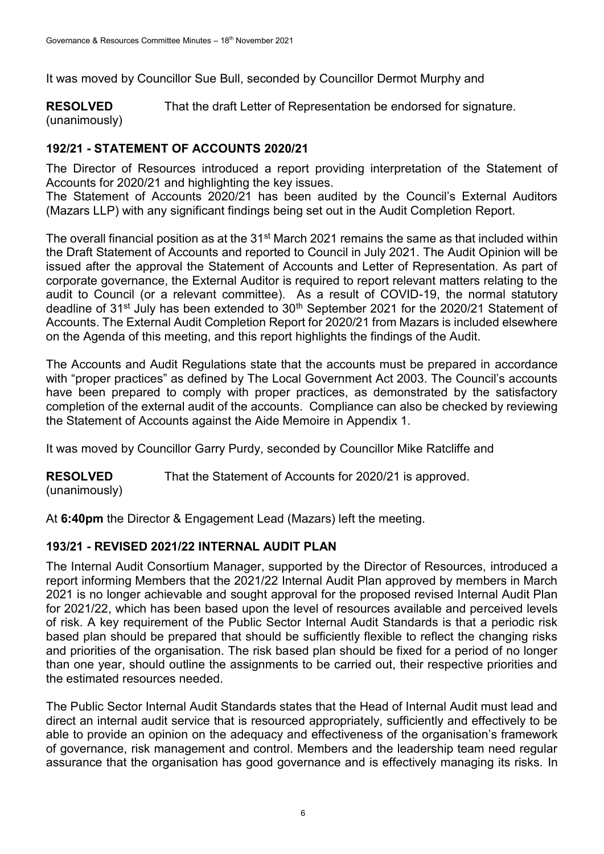It was moved by Councillor Sue Bull, seconded by Councillor Dermot Murphy and

**RESOLVED** (unanimously) That the draft Letter of Representation be endorsed for signature.

## **192/21 - STATEMENT OF ACCOUNTS 2020/21**

The Director of Resources introduced a report providing interpretation of the Statement of Accounts for 2020/21 and highlighting the key issues.

The Statement of Accounts 2020/21 has been audited by the Council's External Auditors (Mazars LLP) with any significant findings being set out in the Audit Completion Report.

The overall financial position as at the 31<sup>st</sup> March 2021 remains the same as that included within the Draft Statement of Accounts and reported to Council in July 2021. The Audit Opinion will be issued after the approval the Statement of Accounts and Letter of Representation. As part of corporate governance, the External Auditor is required to report relevant matters relating to the audit to Council (or a relevant committee). As a result of COVID-19, the normal statutory deadline of 31<sup>st</sup> July has been extended to 30<sup>th</sup> September 2021 for the 2020/21 Statement of Accounts. The External Audit Completion Report for 2020/21 from Mazars is included elsewhere on the Agenda of this meeting, and this report highlights the findings of the Audit.

The Accounts and Audit Regulations state that the accounts must be prepared in accordance with "proper practices" as defined by The Local Government Act 2003. The Council's accounts have been prepared to comply with proper practices, as demonstrated by the satisfactory completion of the external audit of the accounts. Compliance can also be checked by reviewing the Statement of Accounts against the Aide Memoire in Appendix 1.

It was moved by Councillor Garry Purdy, seconded by Councillor Mike Ratcliffe and

**RESOLVED** That the Statement of Accounts for 2020/21 is approved.

(unanimously)

At **6:40pm** the Director & Engagement Lead (Mazars) left the meeting.

## **193/21 - REVISED 2021/22 INTERNAL AUDIT PLAN**

The Internal Audit Consortium Manager, supported by the Director of Resources, introduced a report informing Members that the 2021/22 Internal Audit Plan approved by members in March 2021 is no longer achievable and sought approval for the proposed revised Internal Audit Plan for 2021/22, which has been based upon the level of resources available and perceived levels of risk. A key requirement of the Public Sector Internal Audit Standards is that a periodic risk based plan should be prepared that should be sufficiently flexible to reflect the changing risks and priorities of the organisation. The risk based plan should be fixed for a period of no longer than one year, should outline the assignments to be carried out, their respective priorities and the estimated resources needed.

The Public Sector Internal Audit Standards states that the Head of Internal Audit must lead and direct an internal audit service that is resourced appropriately, sufficiently and effectively to be able to provide an opinion on the adequacy and effectiveness of the organisation's framework of governance, risk management and control. Members and the leadership team need regular assurance that the organisation has good governance and is effectively managing its risks. In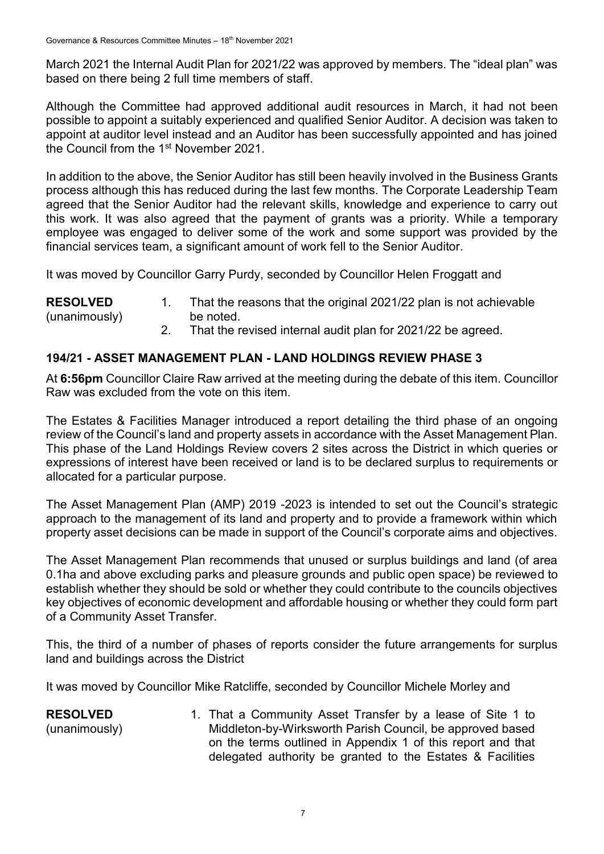March 2021 the Internal Audit Plan for 2021/22 was approved by members. The "ideal plan" was based on there being 2 full time members of staff.

Although the Committee had approved additional audit resources in March, it had not been possible to appoint a suitably experienced and qualified Senior Auditor. A decision was taken to appoint at auditor level instead and an Auditor has been successfully appointed and has joined the Council from the 1<sup>st</sup> November 2021.

In addition to the above, the Senior Auditor has still been heavily involved in the Business Grants process although this has reduced during the last few months. The Corporate Leadership Team agreed that the Senior Auditor had the relevant skills, knowledge and experience to carry out this work. It was also agreed that the payment of grants was a priority. While a temporary employee was engaged to deliver some of the work and some support was provided by the financial services team, a significant amount of work fell to the Senior Auditor.

It was moved by Councillor Garry Purdy, seconded by Councillor Helen Froggatt and

| <b>RESOLVED</b> | That the reasons that the original 2021/22 plan is not achievable |
|-----------------|-------------------------------------------------------------------|
| (unanimously)   | be noted.                                                         |
|                 |                                                                   |

2. That the revised internal audit plan for 2021/22 be agreed.

## **194/21 - ASSET MANAGEMENT PLAN - LAND HOLDINGS REVIEW PHASE 3**

At **6:56pm** Councillor Claire Raw arrived at the meeting during the debate of this item. Councillor Raw was excluded from the vote on this item.

The Estates & Facilities Manager introduced a report detailing the third phase of an ongoing review of the Council's land and property assets in accordance with the Asset Management Plan. This phase of the Land Holdings Review covers 2 sites across the District in which queries or expressions of interest have been received or land is to be declared surplus to requirements or allocated for a particular purpose.

The Asset Management Plan (AMP) 2019 -2023 is intended to set out the Council's strategic approach to the management of its land and property and to provide a framework within which property asset decisions can be made in support of the Council's corporate aims and objectives.

The Asset Management Plan recommends that unused or surplus buildings and land (of area 0.1ha and above excluding parks and pleasure grounds and public open space) be reviewed to establish whether they should be sold or whether they could contribute to the councils objectives key objectives of economic development and affordable housing or whether they could form part of a Community Asset Transfer.

This, the third of a number of phases of reports consider the future arrangements for surplus land and buildings across the District

It was moved by Councillor Mike Ratcliffe, seconded by Councillor Michele Morley and

| <b>RESOLVED</b> | 1. That a Community Asset Transfer by a lease of Site 1 to  |
|-----------------|-------------------------------------------------------------|
| (unanimously)   | Middleton-by-Wirksworth Parish Council, be approved based   |
|                 | on the terms outlined in Appendix 1 of this report and that |
|                 | delegated authority be granted to the Estates & Facilities  |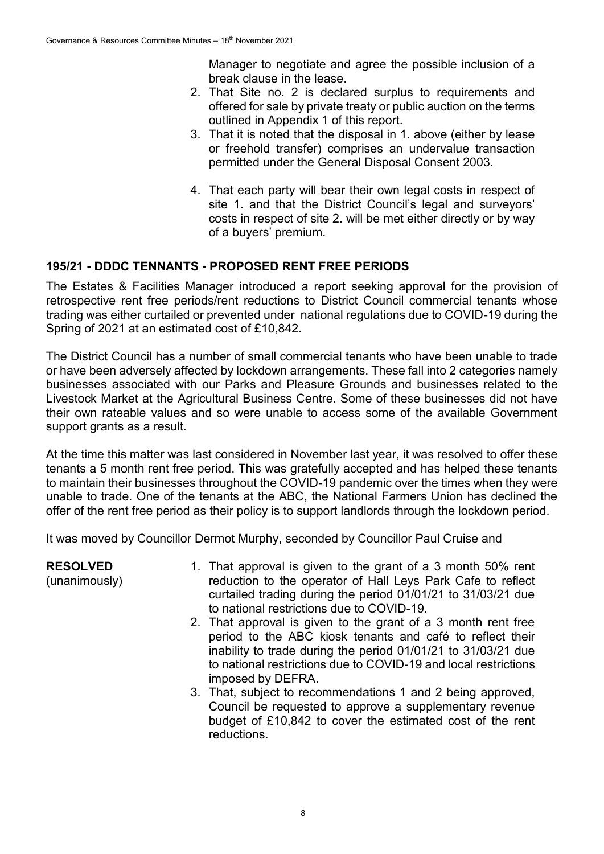Manager to negotiate and agree the possible inclusion of a break clause in the lease.

- 2. That Site no. 2 is declared surplus to requirements and offered for sale by private treaty or public auction on the terms outlined in Appendix 1 of this report.
- 3. That it is noted that the disposal in 1. above (either by lease or freehold transfer) comprises an undervalue transaction permitted under the General Disposal Consent 2003.
- 4. That each party will bear their own legal costs in respect of site 1. and that the District Council's legal and surveyors' costs in respect of site 2. will be met either directly or by way of a buyers' premium.

## **195/21 - DDDC TENNANTS - PROPOSED RENT FREE PERIODS**

The Estates & Facilities Manager introduced a report seeking approval for the provision of retrospective rent free periods/rent reductions to District Council commercial tenants whose trading was either curtailed or prevented under national regulations due to COVID-19 during the Spring of 2021 at an estimated cost of £10,842.

The District Council has a number of small commercial tenants who have been unable to trade or have been adversely affected by lockdown arrangements. These fall into 2 categories namely businesses associated with our Parks and Pleasure Grounds and businesses related to the Livestock Market at the Agricultural Business Centre. Some of these businesses did not have their own rateable values and so were unable to access some of the available Government support grants as a result.

At the time this matter was last considered in November last year, it was resolved to offer these tenants a 5 month rent free period. This was gratefully accepted and has helped these tenants to maintain their businesses throughout the COVID-19 pandemic over the times when they were unable to trade. One of the tenants at the ABC, the National Farmers Union has declined the offer of the rent free period as their policy is to support landlords through the lockdown period.

It was moved by Councillor Dermot Murphy, seconded by Councillor Paul Cruise and

| <b>RESOLVED</b><br>(unanimously) | 1. That approval is given to the grant of a 3 month 50% rent<br>reduction to the operator of Hall Leys Park Cafe to reflect<br>curtailed trading during the period 01/01/21 to 31/03/21 due<br>to national restrictions due to COVID-19.                                            |
|----------------------------------|-------------------------------------------------------------------------------------------------------------------------------------------------------------------------------------------------------------------------------------------------------------------------------------|
|                                  | 2. That approval is given to the grant of a 3 month rent free<br>period to the ABC kiosk tenants and café to reflect their<br>inability to trade during the period 01/01/21 to 31/03/21 due<br>to national restrictions due to COVID-19 and local restrictions<br>imposed by DEFRA. |
|                                  | 3. That, subject to recommendations 1 and 2 being approved,<br>Council be requested to approve a supplementary revenue                                                                                                                                                              |

Council be requested to approve a supplementary revenue budget of £10,842 to cover the estimated cost of the rent reductions.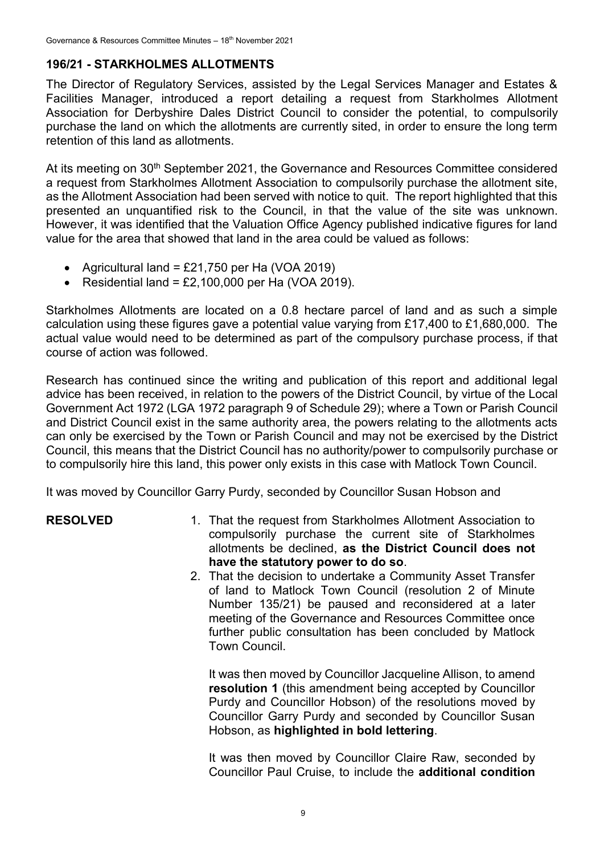#### **196/21 - STARKHOLMES ALLOTMENTS**

The Director of Regulatory Services, assisted by the Legal Services Manager and Estates & Facilities Manager, introduced a report detailing a request from Starkholmes Allotment Association for Derbyshire Dales District Council to consider the potential, to compulsorily purchase the land on which the allotments are currently sited, in order to ensure the long term retention of this land as allotments.

At its meeting on 30<sup>th</sup> September 2021, the Governance and Resources Committee considered a request from Starkholmes Allotment Association to compulsorily purchase the allotment site, as the Allotment Association had been served with notice to quit. The report highlighted that this presented an unquantified risk to the Council, in that the value of the site was unknown. However, it was identified that the Valuation Office Agency published indicative figures for land value for the area that showed that land in the area could be valued as follows:

- Agricultural land =  $£21,750$  per Ha (VOA 2019)
- Residential land =  $£2,100,000$  per Ha (VOA 2019).

Starkholmes Allotments are located on a 0.8 hectare parcel of land and as such a simple calculation using these figures gave a potential value varying from £17,400 to £1,680,000. The actual value would need to be determined as part of the compulsory purchase process, if that course of action was followed.

Research has continued since the writing and publication of this report and additional legal advice has been received, in relation to the powers of the District Council, by virtue of the Local Government Act 1972 (LGA 1972 paragraph 9 of Schedule 29); where a Town or Parish Council and District Council exist in the same authority area, the powers relating to the allotments acts can only be exercised by the Town or Parish Council and may not be exercised by the District Council, this means that the District Council has no authority/power to compulsorily purchase or to compulsorily hire this land, this power only exists in this case with Matlock Town Council.

It was moved by Councillor Garry Purdy, seconded by Councillor Susan Hobson and

- **RESOLVED** 1. That the request from Starkholmes Allotment Association to compulsorily purchase the current site of Starkholmes allotments be declined, **as the District Council does not have the statutory power to do so**.
	- 2. That the decision to undertake a Community Asset Transfer of land to Matlock Town Council (resolution 2 of Minute Number 135/21) be paused and reconsidered at a later meeting of the Governance and Resources Committee once further public consultation has been concluded by Matlock Town Council.

It was then moved by Councillor Jacqueline Allison, to amend **resolution 1** (this amendment being accepted by Councillor Purdy and Councillor Hobson) of the resolutions moved by Councillor Garry Purdy and seconded by Councillor Susan Hobson, as **highlighted in bold lettering**.

It was then moved by Councillor Claire Raw, seconded by Councillor Paul Cruise, to include the **additional condition**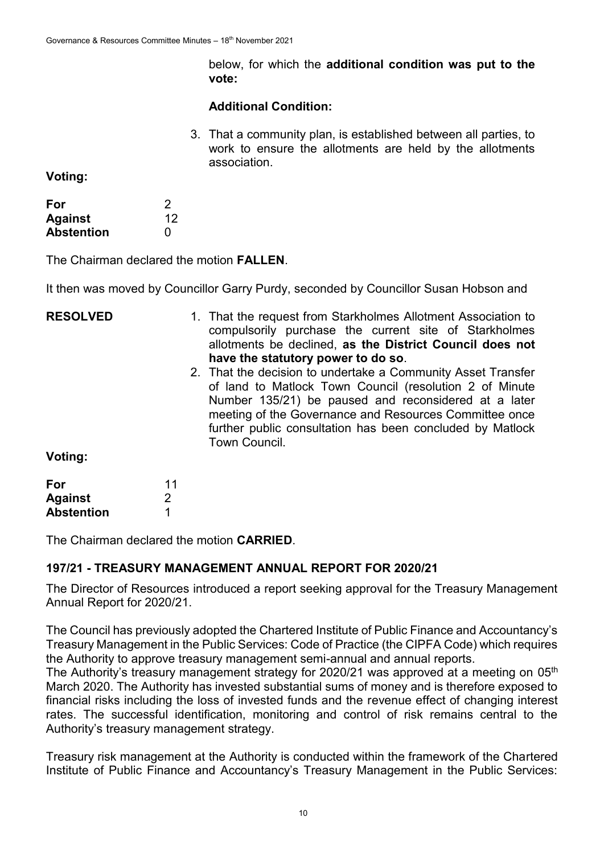below, for which the **additional condition was put to the vote:**

#### **Additional Condition:**

3. That a community plan, is established between all parties, to work to ensure the allotments are held by the allotments association.

**Voting:**

| For               | 2                 |
|-------------------|-------------------|
| <b>Against</b>    | $12 \overline{ }$ |
| <b>Abstention</b> | O                 |

The Chairman declared the motion **FALLEN**.

It then was moved by Councillor Garry Purdy, seconded by Councillor Susan Hobson and

| <b>RESOLVED</b> | 1. That the request from Starkholmes Allotment Association to<br>compulsorily purchase the current site of Starkholmes<br>allotments be declined, as the District Council does not<br>have the statutory power to do so.                                                                                                |
|-----------------|-------------------------------------------------------------------------------------------------------------------------------------------------------------------------------------------------------------------------------------------------------------------------------------------------------------------------|
|                 | 2. That the decision to undertake a Community Asset Transfer<br>of land to Matlock Town Council (resolution 2 of Minute<br>Number 135/21) be paused and reconsidered at a later<br>meeting of the Governance and Resources Committee once<br>further public consultation has been concluded by Matlock<br>Town Council. |
| Voting:         |                                                                                                                                                                                                                                                                                                                         |
| For             |                                                                                                                                                                                                                                                                                                                         |

**Against Abstention** 2 1

The Chairman declared the motion **CARRIED**.

## **197/21 - TREASURY MANAGEMENT ANNUAL REPORT FOR 2020/21**

The Director of Resources introduced a report seeking approval for the Treasury Management Annual Report for 2020/21.

The Council has previously adopted the Chartered Institute of Public Finance and Accountancy's Treasury Management in the Public Services: Code of Practice (the CIPFA Code) which requires the Authority to approve treasury management semi-annual and annual reports.

The Authority's treasury management strategy for 2020/21 was approved at a meeting on 05<sup>th</sup> March 2020. The Authority has invested substantial sums of money and is therefore exposed to financial risks including the loss of invested funds and the revenue effect of changing interest rates. The successful identification, monitoring and control of risk remains central to the Authority's treasury management strategy.

Treasury risk management at the Authority is conducted within the framework of the Chartered Institute of Public Finance and Accountancy's Treasury Management in the Public Services: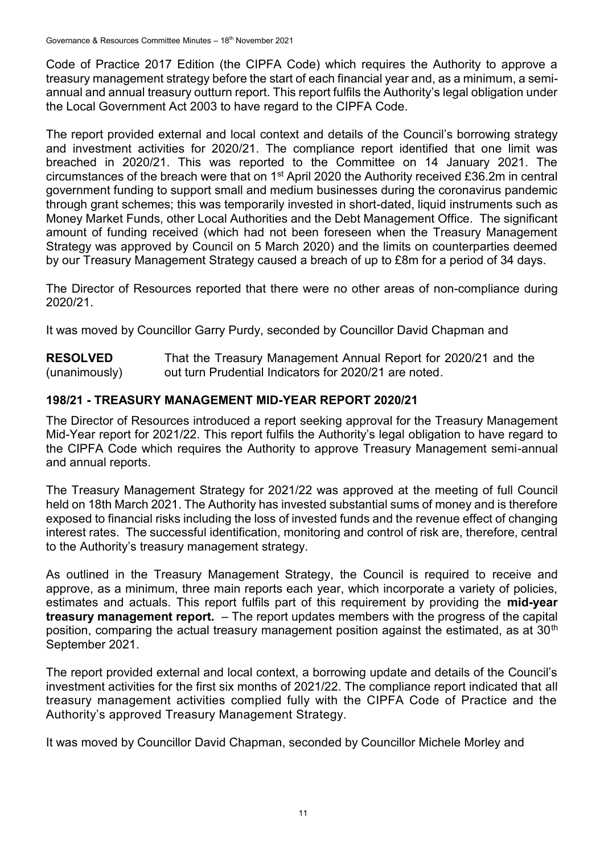Code of Practice 2017 Edition (the CIPFA Code) which requires the Authority to approve a treasury management strategy before the start of each financial year and, as a minimum, a semiannual and annual treasury outturn report. This report fulfils the Authority's legal obligation under the Local Government Act 2003 to have regard to the CIPFA Code.

The report provided external and local context and details of the Council's borrowing strategy and investment activities for 2020/21. The compliance report identified that one limit was breached in 2020/21. This was reported to the Committee on 14 January 2021. The circumstances of the breach were that on 1<sup>st</sup> April 2020 the Authority received £36.2m in central government funding to support small and medium businesses during the coronavirus pandemic through grant schemes; this was temporarily invested in short-dated, liquid instruments such as Money Market Funds, other Local Authorities and the Debt Management Office. The significant amount of funding received (which had not been foreseen when the Treasury Management Strategy was approved by Council on 5 March 2020) and the limits on counterparties deemed by our Treasury Management Strategy caused a breach of up to £8m for a period of 34 days.

The Director of Resources reported that there were no other areas of non-compliance during 2020/21.

It was moved by Councillor Garry Purdy, seconded by Councillor David Chapman and

**RESOLVED** (unanimously) That the Treasury Management Annual Report for 2020/21 and the out turn Prudential Indicators for 2020/21 are noted.

## **198/21 - TREASURY MANAGEMENT MID-YEAR REPORT 2020/21**

The Director of Resources introduced a report seeking approval for the Treasury Management Mid-Year report for 2021/22. This report fulfils the Authority's legal obligation to have regard to the CIPFA Code which requires the Authority to approve Treasury Management semi-annual and annual reports.

The Treasury Management Strategy for 2021/22 was approved at the meeting of full Council held on 18th March 2021. The Authority has invested substantial sums of money and is therefore exposed to financial risks including the loss of invested funds and the revenue effect of changing interest rates. The successful identification, monitoring and control of risk are, therefore, central to the Authority's treasury management strategy.

As outlined in the Treasury Management Strategy, the Council is required to receive and approve, as a minimum, three main reports each year, which incorporate a variety of policies, estimates and actuals. This report fulfils part of this requirement by providing the **mid-year treasury management report.** – The report updates members with the progress of the capital position, comparing the actual treasury management position against the estimated, as at 30<sup>th</sup> September 2021.

The report provided external and local context, a borrowing update and details of the Council's investment activities for the first six months of 2021/22. The compliance report indicated that all treasury management activities complied fully with the CIPFA Code of Practice and the Authority's approved Treasury Management Strategy.

It was moved by Councillor David Chapman, seconded by Councillor Michele Morley and